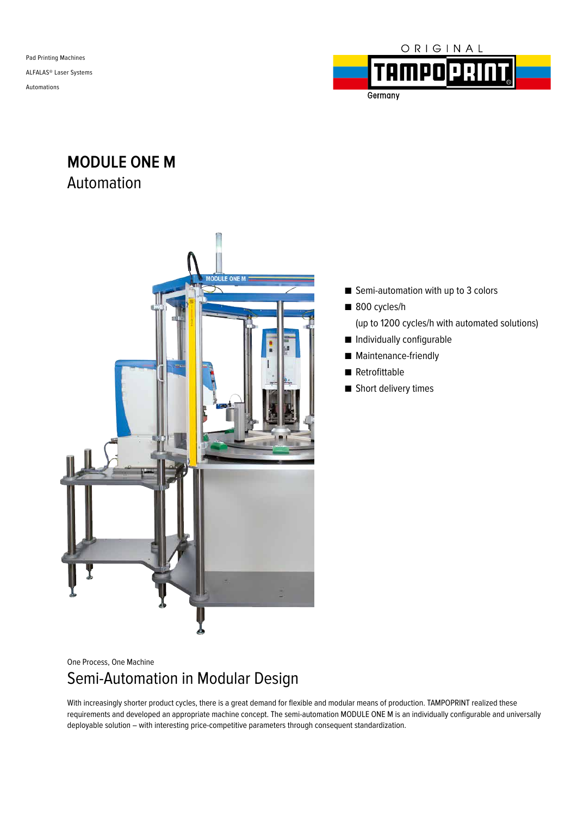Pad Printing Machines ALFALAS® Laser Systems Automations



**MODULE ONE M** Automation



- Semi-automation with up to 3 colors
- 800 cycles/h

Germany

- (up to 1200 cycles/h with automated solutions)
- Individually configurable
- Maintenance-friendly
- Retrofittable
- Short delivery times

One Process, One Machine

# Semi-Automation in Modular Design

With increasingly shorter product cycles, there is a great demand for flexible and modular means of production. TAMPOPRINT realized these requirements and developed an appropriate machine concept. The semi-automation MODULE ONE M is an individually configurable and universally deployable solution – with interesting price-competitive parameters through consequent standardization.